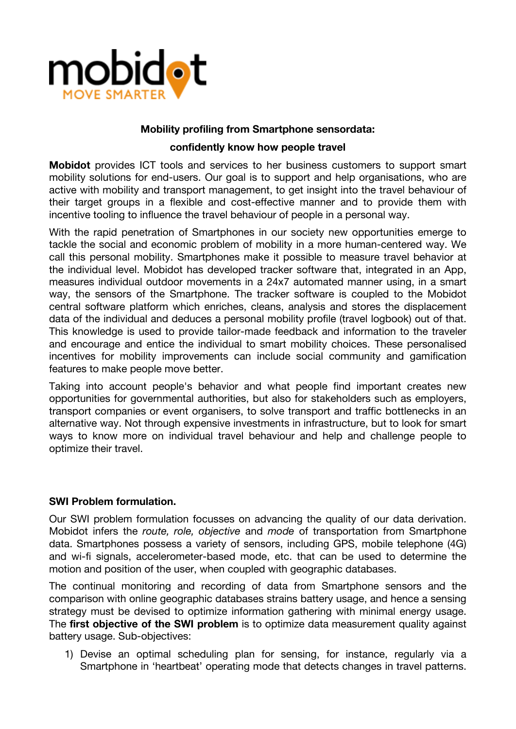

## **Mobility profiling from Smartphone sensordata:**

## **confidently know how people travel**

**Mobidot** provides ICT tools and services to her business customers to support smart mobility solutions for end-users. Our goal is to support and help organisations, who are active with mobility and transport management, to get insight into the travel behaviour of their target groups in a flexible and cost-effective manner and to provide them with incentive tooling to influence the travel behaviour of people in a personal way.

With the rapid penetration of Smartphones in our society new opportunities emerge to tackle the social and economic problem of mobility in a more human-centered way. We call this personal mobility. Smartphones make it possible to measure travel behavior at the individual level. Mobidot has developed tracker software that, integrated in an App, measures individual outdoor movements in a 24x7 automated manner using, in a smart way, the sensors of the Smartphone. The tracker software is coupled to the Mobidot central software platform which enriches, cleans, analysis and stores the displacement data of the individual and deduces a personal mobility profile (travel logbook) out of that. This knowledge is used to provide tailor-made feedback and information to the traveler and encourage and entice the individual to smart mobility choices. These personalised incentives for mobility improvements can include social community and gamification features to make people move better.

Taking into account people's behavior and what people find important creates new opportunities for governmental authorities, but also for stakeholders such as employers, transport companies or event organisers, to solve transport and traffic bottlenecks in an alternative way. Not through expensive investments in infrastructure, but to look for smart ways to know more on individual travel behaviour and help and challenge people to optimize their travel.

## **SWI Problem formulation.**

Our SWI problem formulation focusses on advancing the quality of our data derivation. Mobidot infers the *route, role, objective* and *mode* of transportation from Smartphone data. Smartphones possess a variety of sensors, including GPS, mobile telephone (4G) and wi-fi signals, accelerometer-based mode, etc. that can be used to determine the motion and position of the user, when coupled with geographic databases.

The continual monitoring and recording of data from Smartphone sensors and the comparison with online geographic databases strains battery usage, and hence a sensing strategy must be devised to optimize information gathering with minimal energy usage. The **first objective of the SWI problem** is to optimize data measurement quality against battery usage. Sub-objectives:

1) Devise an optimal scheduling plan for sensing, for instance, regularly via a Smartphone in 'heartbeat' operating mode that detects changes in travel patterns.